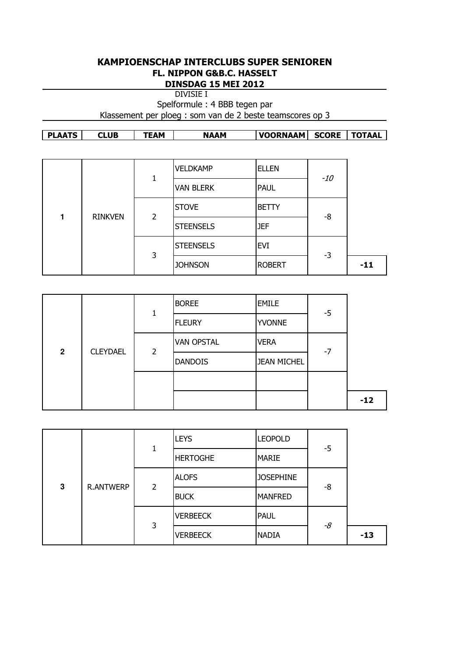## KAMPIOENSCHAP INTERCLUBS SUPER SENIOREN FL. NIPPON G&B.C. HASSELT DINSDAG 15 MEI 2012

DIVISIE I

Spelformule : 4 BBB tegen par

Klassement per ploeg : som van de 2 beste teamscores op 3

| <b>PLAATS</b> | <b>CLUB</b> | :AM | <b>NAAM</b> | <b>VOORNAAM</b> | <b>SCORE</b> | <b>TOTAAL</b> |
|---------------|-------------|-----|-------------|-----------------|--------------|---------------|
|---------------|-------------|-----|-------------|-----------------|--------------|---------------|

|  |                | 1                   | <b>VELDKAMP</b>  | <b>ELLEN</b>  | $-10$    |       |
|--|----------------|---------------------|------------------|---------------|----------|-------|
|  |                |                     | <b>VAN BLERK</b> | <b>PAUL</b>   |          |       |
|  | <b>RINKVEN</b> | $\overline{2}$<br>3 | <b>STOVE</b>     | <b>BETTY</b>  | -8<br>-3 |       |
|  |                |                     | <b>STEENSELS</b> | <b>JEF</b>    |          |       |
|  |                |                     | <b>STEENSELS</b> | <b>EVI</b>    |          |       |
|  |                |                     | <b>JOHNSON</b>   | <b>ROBERT</b> |          | $-11$ |

|                |                 | 1              | <b>BOREE</b>      | <b>EMILE</b>       | $-5$ |       |
|----------------|-----------------|----------------|-------------------|--------------------|------|-------|
|                |                 |                | <b>FLEURY</b>     | <b>YVONNE</b>      |      |       |
| $\overline{2}$ | <b>CLEYDAEL</b> | $\overline{2}$ | <b>VAN OPSTAL</b> | <b>VERA</b>        | $-7$ |       |
|                |                 |                | <b>DANDOIS</b>    | <b>JEAN MICHEL</b> |      |       |
|                |                 |                |                   |                    |      |       |
|                |                 |                |                   |                    |      | $-12$ |

|   |                  |   | <b>LEYS</b>     | <b>LEOPOLD</b>   | -5 |       |
|---|------------------|---|-----------------|------------------|----|-------|
|   |                  | 1 | <b>HERTOGHE</b> | <b>MARIE</b>     |    |       |
| 3 | <b>R.ANTWERP</b> | 2 | <b>ALOFS</b>    | <b>JOSEPHINE</b> | -8 |       |
|   |                  |   | <b>BUCK</b>     | <b>MANFRED</b>   |    |       |
|   |                  | 3 | <b>VERBEECK</b> | <b>PAUL</b>      | -8 |       |
|   |                  |   | <b>VERBEECK</b> | <b>NADIA</b>     |    | $-13$ |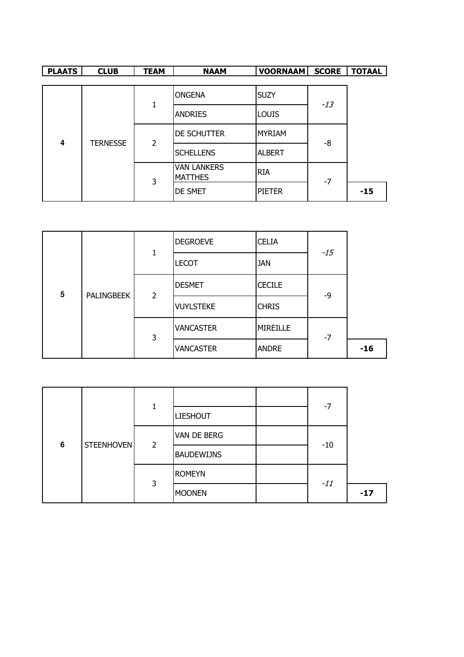| <b>PLAATS</b> | <b>CLUB</b>     | <b>TEAM</b>    | <b>NAAM</b>                          | <b>VOORNAAM</b> | <b>SCORE</b> | <b>TOTAAL</b> |
|---------------|-----------------|----------------|--------------------------------------|-----------------|--------------|---------------|
|               |                 |                |                                      |                 |              |               |
|               |                 |                | <b>ONGENA</b>                        | <b>SUZY</b>     | $-13$        |               |
| 4             |                 | 1              | <b>ANDRIES</b>                       | <b>LOUIS</b>    |              |               |
|               | <b>TERNESSE</b> | $\overline{2}$ | DE SCHUTTER                          | <b>MYRIAM</b>   | -8           |               |
|               |                 |                | <b>SCHELLENS</b>                     | <b>ALBERT</b>   |              |               |
|               |                 | 3              | <b>VAN LANKERS</b><br><b>MATTHES</b> | <b>RIA</b>      | $-7$         |               |
|               |                 |                | <b>DE SMET</b>                       | <b>PIETER</b>   |              | $-15$         |

|   |            |   | <b>DEGROEVE</b>  | <b>CELIA</b>    | $-15$ |       |
|---|------------|---|------------------|-----------------|-------|-------|
|   |            | 1 | <b>LECOT</b>     | <b>JAN</b>      |       |       |
| 5 | PALINGBEEK | 2 | <b>DESMET</b>    | <b>CECILE</b>   | -9    |       |
|   |            |   | <b>VUYLSTEKE</b> | <b>CHRIS</b>    |       |       |
|   |            | 3 | <b>VANCASTER</b> | <b>MIREILLE</b> | $-7$  |       |
|   |            |   | <b>VANCASTER</b> | <b>ANDRE</b>    |       | $-16$ |

|   |            | 1              |                                       |  | $-7$  |       |
|---|------------|----------------|---------------------------------------|--|-------|-------|
| 6 |            |                | <b>LIESHOUT</b><br><b>VAN DE BERG</b> |  |       |       |
|   | STEENHOVEN | $\overline{2}$ |                                       |  | $-10$ |       |
|   |            |                | <b>BAUDEWIJNS</b>                     |  |       |       |
|   |            | 3              | <b>ROMEYN</b>                         |  | $-11$ |       |
|   |            |                | <b>MOONEN</b>                         |  |       | $-17$ |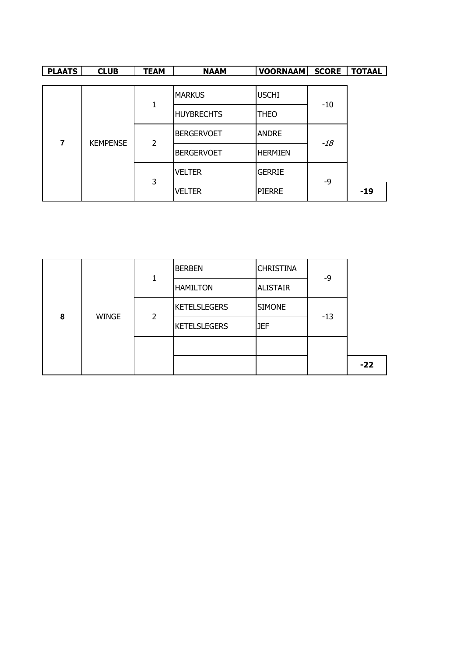| <b>PLAATS</b> | <b>CLUB</b>     | <b>TEAM</b> | <b>NAAM</b>       | <b>VOORNAAM</b> | <b>SCORE</b> | <b>TOTAAL</b> |
|---------------|-----------------|-------------|-------------------|-----------------|--------------|---------------|
|               |                 |             |                   |                 |              |               |
|               |                 | 1           | <b>MARKUS</b>     | <b>USCHI</b>    | $-10$        |               |
|               |                 |             | <b>HUYBRECHTS</b> | <b>THEO</b>     |              |               |
| 7             | <b>KEMPENSE</b> | 2           | <b>BERGERVOET</b> | <b>ANDRE</b>    | $-18$        |               |
|               |                 |             | <b>BERGERVOET</b> | <b>HERMIEN</b>  |              |               |
|               |                 | 3           | <b>VELTER</b>     | <b>GERRIE</b>   | -9           |               |
|               |                 |             | <b>VELTER</b>     | <b>PIERRE</b>   |              | $-19$         |

| 8 |              |   | <b>BERBEN</b>       | <b>CHRISTINA</b> | -9    |       |
|---|--------------|---|---------------------|------------------|-------|-------|
|   |              |   | <b>HAMILTON</b>     | <b>ALISTAIR</b>  |       |       |
|   | <b>WINGE</b> | 2 | <b>KETELSLEGERS</b> | <b>SIMONE</b>    | $-13$ |       |
|   |              |   | <b>KETELSLEGERS</b> | <b>JEF</b>       |       |       |
|   |              |   |                     |                  |       |       |
|   |              |   |                     |                  |       | $-22$ |